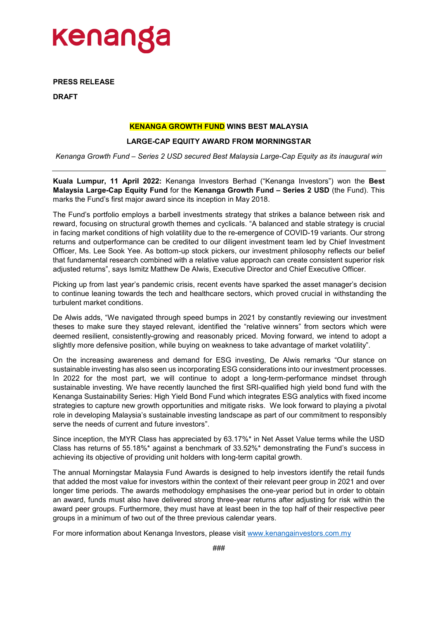

**PRESS RELEASE** 

**DRAFT** 

## **KENANGA GROWTH FUND WINS BEST MALAYSIA**

## **LARGE-CAP EQUITY AWARD FROM MORNINGSTAR**

*Kenanga Growth Fund – Series 2 USD secured Best Malaysia Large-Cap Equity as its inaugural win* 

**Kuala Lumpur, 11 April 2022:** Kenanga Investors Berhad ("Kenanga Investors") won the **Best Malaysia Large-Cap Equity Fund** for the **Kenanga Growth Fund – Series 2 USD** (the Fund). This marks the Fund's first major award since its inception in May 2018.

The Fund's portfolio employs a barbell investments strategy that strikes a balance between risk and reward, focusing on structural growth themes and cyclicals. "A balanced and stable strategy is crucial in facing market conditions of high volatility due to the re-emergence of COVID-19 variants. Our strong returns and outperformance can be credited to our diligent investment team led by Chief Investment Officer, Ms. Lee Sook Yee. As bottom-up stock pickers, our investment philosophy reflects our belief that fundamental research combined with a relative value approach can create consistent superior risk adjusted returns", says Ismitz Matthew De Alwis, Executive Director and Chief Executive Officer.

Picking up from last year's pandemic crisis, recent events have sparked the asset manager's decision to continue leaning towards the tech and healthcare sectors, which proved crucial in withstanding the turbulent market conditions.

De Alwis adds, "We navigated through speed bumps in 2021 by constantly reviewing our investment theses to make sure they stayed relevant, identified the "relative winners" from sectors which were deemed resilient, consistently-growing and reasonably priced. Moving forward, we intend to adopt a slightly more defensive position, while buying on weakness to take advantage of market volatility".

On the increasing awareness and demand for ESG investing, De Alwis remarks "Our stance on sustainable investing has also seen us incorporating ESG considerations into our investment processes. In 2022 for the most part, we will continue to adopt a long-term-performance mindset through sustainable investing. We have recently launched the first SRI-qualified high yield bond fund with the Kenanga Sustainability Series: High Yield Bond Fund which integrates ESG analytics with fixed income strategies to capture new growth opportunities and mitigate risks. We look forward to playing a pivotal role in developing Malaysia's sustainable investing landscape as part of our commitment to responsibly serve the needs of current and future investors".

Since inception, the MYR Class has appreciated by 63.17%\* in Net Asset Value terms while the USD Class has returns of 55.18%\* against a benchmark of 33.52%\* demonstrating the Fund's success in achieving its objective of providing unit holders with long-term capital growth.

The annual Morningstar Malaysia Fund Awards is designed to help investors identify the retail funds that added the most value for investors within the context of their relevant peer group in 2021 and over longer time periods. The awards methodology emphasises the one-year period but in order to obtain an award, funds must also have delivered strong three-year returns after adjusting for risk within the award peer groups. Furthermore, they must have at least been in the top half of their respective peer groups in a minimum of two out of the three previous calendar years.

For more information about Kenanga Investors, please visit [www.kenangainvestors.com.my](http://www.kenangainvestors.com.my/)